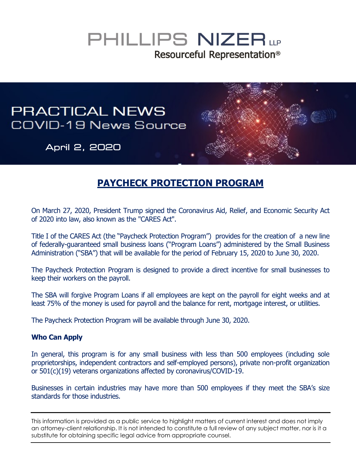## PHILLIPS NIZER LLP Resourceful Representation<sup>®</sup>

# **PRACTICAL NEWS** COVID-19 News Source April 2, 2020

### **PAYCHECK PROTECTION PROGRAM**

On March 27, 2020, President Trump signed the Coronavirus Aid, Relief, and Economic Security Act of 2020 into law, also known as the "CARES Act".

Title I of the CARES Act (the "Paycheck Protection Program") provides for the creation of a new line of federally-guaranteed small business loans ("Program Loans") administered by the Small Business Administration ("SBA") that will be available for the period of February 15, 2020 to June 30, 2020.

The Paycheck Protection Program is designed to provide a direct incentive for small businesses to keep their workers on the payroll.

The SBA will forgive Program Loans if all employees are kept on the payroll for eight weeks and at least 75% of the money is used for payroll and the balance for rent, mortgage interest, or utilities.

The Paycheck Protection Program will be available through June 30, 2020.

#### **Who Can Apply**

In general, this program is for any small business with less than 500 employees (including sole proprietorships, independent contractors and self-employed persons), private non-profit organization or 501(c)(19) veterans organizations affected by coronavirus/COVID-19.

Businesses in certain industries may have more than 500 employees if they meet the SBA's size standards for those industries.

This information is provided as a public service to highlight matters of current interest and does not imply an attorney-client relationship. It is not intended to constitute a full review of any subject matter, nor is it a substitute for obtaining specific legal advice from appropriate counsel.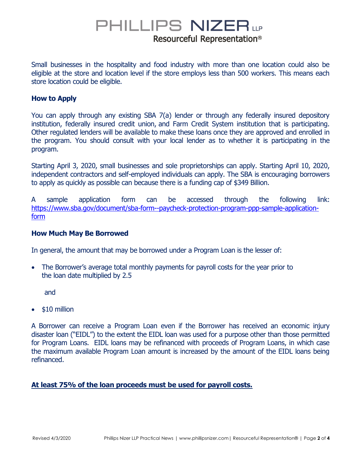### PHILLIPS NIZER LP Resourceful Representation<sup>®</sup>

Small businesses in the hospitality and food industry with more than one location could also be eligible at the store and location level if the store employs less than 500 workers. This means each store location could be eligible.

### **How to Apply**

You can apply through any existing SBA 7(a) lender or through any federally insured depository institution, federally insured credit union, and Farm Credit System institution that is participating. Other regulated lenders will be available to make these loans once they are approved and enrolled in the program. You should consult with your local lender as to whether it is participating in the program.

Starting April 3, 2020, small businesses and sole proprietorships can apply. Starting April 10, 2020, independent contractors and self-employed individuals can apply. The SBA is encouraging borrowers to apply as quickly as possible can because there is a funding cap of \$349 Billion.

A sample application form can be accessed through the following link: [https://www.sba.gov/document/sba-form--paycheck-protection-program-ppp-sample-application](https://www.sba.gov/document/sba-form--paycheck-protection-program-ppp-sample-application-form)[form](https://www.sba.gov/document/sba-form--paycheck-protection-program-ppp-sample-application-form)

### **How Much May Be Borrowed**

In general, the amount that may be borrowed under a Program Loan is the lesser of:

• The Borrower's average total monthly payments for payroll costs for the year prior to the loan date multiplied by 2.5

and

\$10 million

A Borrower can receive a Program Loan even if the Borrower has received an economic injury disaster loan ("EIDL") to the extent the EIDL loan was used for a purpose other than those permitted for Program Loans. EIDL loans may be refinanced with proceeds of Program Loans, in which case the maximum available Program Loan amount is increased by the amount of the EIDL loans being refinanced.

### **At least 75% of the loan proceeds must be used for payroll costs.**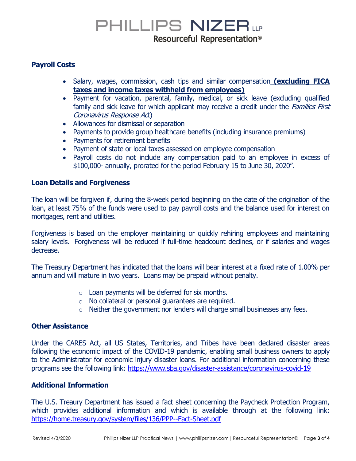### PHILLIPS NIZER LP Resourceful Representation<sup>®</sup>

### **Payroll Costs**

- Salary, wages, commission, cash tips and similar compensation **(excluding FICA taxes and income taxes withheld from employees)**
- Payment for vacation, parental, family, medical, or sick leave (excluding qualified family and sick leave for which applicant may receive a credit under the *Families First* Coronavirus Response Act)
- Allowances for dismissal or separation
- Payments to provide group healthcare benefits (including insurance premiums)
- Payments for retirement benefits
- Payment of state or local taxes assessed on employee compensation
- Payroll costs do not include any compensation paid to an employee in excess of \$100,000- annually, prorated for the period February 15 to June 30, 2020".

#### **Loan Details and Forgiveness**

The loan will be forgiven if, during the 8-week period beginning on the date of the origination of the loan, at least 75% of the funds were used to pay payroll costs and the balance used for interest on mortgages, rent and utilities.

Forgiveness is based on the employer maintaining or quickly rehiring employees and maintaining salary levels. Forgiveness will be reduced if full-time headcount declines, or if salaries and wages decrease.

The Treasury Department has indicated that the loans will bear interest at a fixed rate of 1.00% per annum and will mature in two years. Loans may be prepaid without penalty.

- $\circ$  Loan payments will be deferred for six months.
- o No collateral or personal guarantees are required.
- o Neither the government nor lenders will charge small businesses any fees.

#### **Other Assistance**

Under the CARES Act, all US States, Territories, and Tribes have been declared disaster areas following the economic impact of the COVID-19 pandemic, enabling small business owners to apply to the Administrator for economic injury disaster loans. For additional information concerning these programs see the following link:<https://www.sba.gov/disaster-assistance/coronavirus-covid-19>

### **Additional Information**

The U.S. Treaury Department has issued a fact sheet concerning the Paycheck Protection Program, which provides additional information and which is available through at the following link: <https://home.treasury.gov/system/files/136/PPP--Fact-Sheet.pdf>